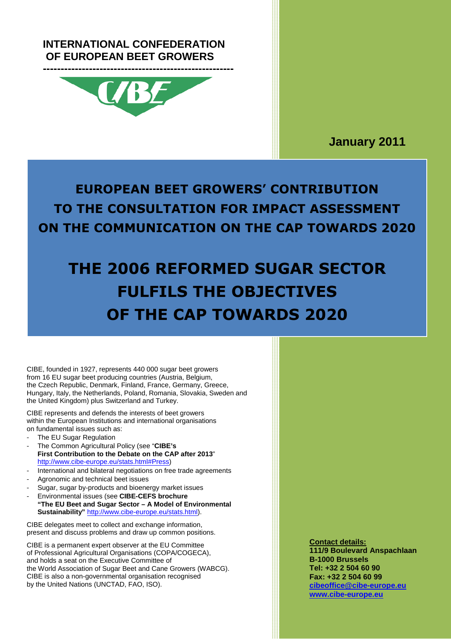# **INTERNATIONAL CONFEDERATION OF EUROPEAN BEET GROWERS**



**January 2011**

# **EUROPEAN BEET GROWERS' CONTRIBUTION TO THE CONSULTATION FOR IMPACT ASSESSMENT ON THE COMMUNICATION ON THE CAP TOWARDS 2020**

# **THE 2006 REFORMED SUGAR SECTOR FULFILS THE OBJECTIVES OF THE CAP TOWARDS 2020**

CIBE, founded in 1927, represents 440 000 sugar beet growers from 16 EU sugar beet producing countries (Austria, Belgium, the Czech Republic, Denmark, Finland, France, Germany, Greece, Hungary, Italy, the Netherlands, Poland, Romania, Slovakia, Sweden and the United Kingdom) plus Switzerland and Turkey.

CIBE represents and defends the interests of beet growers within the European Institutions and international organisations on fundamental issues such as:

- The EU Sugar Regulation
- The Common Agricultural Policy (see "**CIBE's First Contribution to the Debate on the CAP after 2013**" http://www.cibe-europe.eu/stats.html#Press)
- International and bilateral negotiations on free trade agreements Agronomic and technical beet issues
- 
- Sugar, sugar by-products and bioenergy market issues
- Environmental issues (see **CIBE-CEFS brochure "The EU Beet and Sugar Sector – A Model of Environmental Sustainability"** http://www.cibe-europe.eu/stats.html).

CIBE delegates meet to collect and exchange information, present and discuss problems and draw up common positions.

CIBE is a permanent expert observer at the EU Committee of Professional Agricultural Organisations (COPA/COGECA), and holds a seat on the Executive Committee of the World Association of Sugar Beet and Cane Growers (WABCG). CIBE is also a non-governmental organisation recognised by the United Nations (UNCTAD, FAO, ISO).

**Contact details: 111/9 Boulevard Anspachlaan B-1000 Brussels Tel: +32 2 504 60 90 Fax: +32 2 504 60 99 cibeoffice@cibe-europe.eu www.cibe-europe.eu**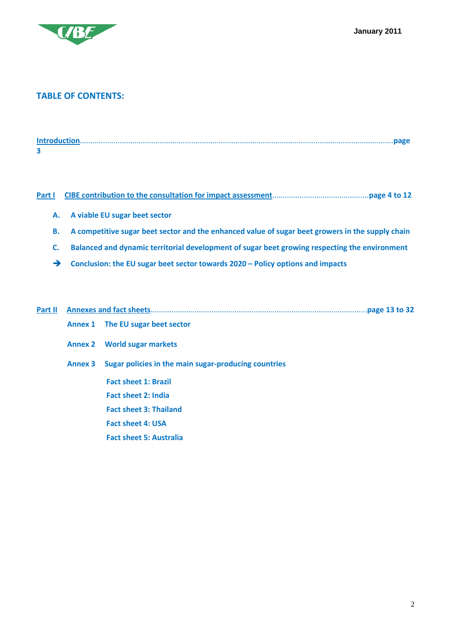

### **TABLE OF CONTENTS:**

#### **Part I CIBE contribution to the consultation for impact assessment**..............................................**page 4 to 12**

- **A. A viable EU sugar beet sector**
- **B. A competitive sugar beet sector and the enhanced value of sugar beet growers in the supply chain**
- **C. Balanced and dynamic territorial development of sugar beet growing respecting the environment**
- **Conclusion: the EU sugar beet sector towards 2020 Policy options and impacts**

| Part II | <b>Annexes and fact sheets</b> |                                                      |  |
|---------|--------------------------------|------------------------------------------------------|--|
|         |                                | Annex 1 The EU sugar beet sector                     |  |
|         | <b>Annex 2</b>                 | <b>World sugar markets</b>                           |  |
|         | <b>Annex 3</b>                 | Sugar policies in the main sugar-producing countries |  |
|         |                                | <b>Fact sheet 1: Brazil</b>                          |  |
|         |                                | <b>Fact sheet 2: India</b>                           |  |
|         |                                | <b>Fact sheet 3: Thailand</b>                        |  |
|         |                                | <b>Fact sheet 4: USA</b>                             |  |
|         |                                | <b>Fact sheet 5: Australia</b>                       |  |
|         |                                |                                                      |  |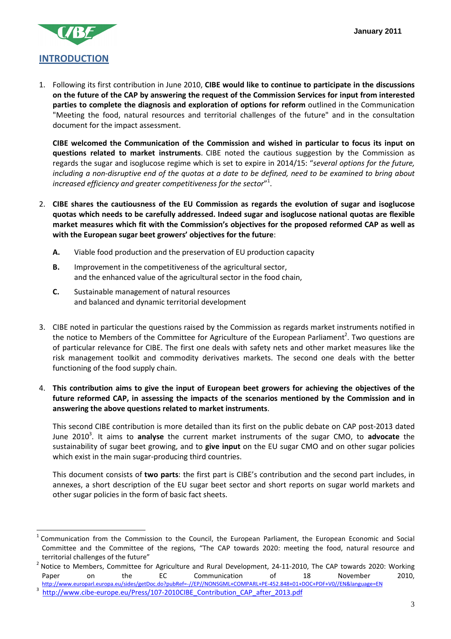

l

1. Following its first contribution in June 2010, **CIBE would like to continue to participate in the discussions on the future of the CAP by answering the request of the Commission Services for input from interested parties to complete the diagnosis and exploration of options for reform** outlined in the Communication "Meeting the food, natural resources and territorial challenges of the future" and in the consultation document for the impact assessment.

**CIBE welcomed the Communication of the Commission and wished in particular to focus its input on questions related to market instruments**. CIBE noted the cautious suggestion by the Commission as regards the sugar and isoglucose regime which is set to expire in 2014/15: "*several options for the future, including a non-disruptive end of the quotas at a date to be defined, need to be examined to bring about increased efficiency and greater competitiveness for the sector*" 1 .

- 2. **CIBE shares the cautiousness of the EU Commission as regards the evolution of sugar and isoglucose quotas which needs to be carefully addressed. Indeed sugar and isoglucose national quotas are flexible market measures which fit with the Commission's objectives for the proposed reformed CAP as well as with the European sugar beet growers' objectives for the future**:
	- **A.** Viable food production and the preservation of EU production capacity
	- **B.** Improvement in the competitiveness of the agricultural sector, and the enhanced value of the agricultural sector in the food chain,
	- **C.** Sustainable management of natural resources and balanced and dynamic territorial development
- 3. CIBE noted in particular the questions raised by the Commission as regards market instruments notified in the notice to Members of the Committee for Agriculture of the European Parliament<sup>2</sup>. Two questions are of particular relevance for CIBE. The first one deals with safety nets and other market measures like the risk management toolkit and commodity derivatives markets. The second one deals with the better functioning of the food supply chain.
- 4. **This contribution aims to give the input of European beet growers for achieving the objectives of the future reformed CAP, in assessing the impacts of the scenarios mentioned by the Commission and in answering the above questions related to market instruments**.

This second CIBE contribution is more detailed than its first on the public debate on CAP post-2013 dated June 2010<sup>3</sup>. It aims to analyse the current market instruments of the sugar CMO, to advocate the sustainability of sugar beet growing, and to **give input** on the EU sugar CMO and on other sugar policies which exist in the main sugar-producing third countries.

This document consists of **two parts**: the first part is CIBE's contribution and the second part includes, in annexes, a short description of the EU sugar beet sector and short reports on sugar world markets and other sugar policies in the form of basic fact sheets.

<sup>1</sup> Communication from the Commission to the Council, the European Parliament, the European Economic and Social Committee and the Committee of the regions, "The CAP towards 2020: meeting the food, natural resource and territorial challenges of the future"

 $^2$  Notice to Members, Committee for Agriculture and Rural Development, 24-11-2010, The CAP towards 2020: Working Paper on the EC Communication of 18 November 2010, http://www.europarl.europa.eu/sides/getDoc.do?pubRef=-//EP//NONSGML+COMPARL+PE-452.848+01+DOC+PDF+V0//EN&language=EN 3 http://www.cibe-europe.eu/Press/107-2010CIBE\_Contribution\_CAP\_after\_2013.pdf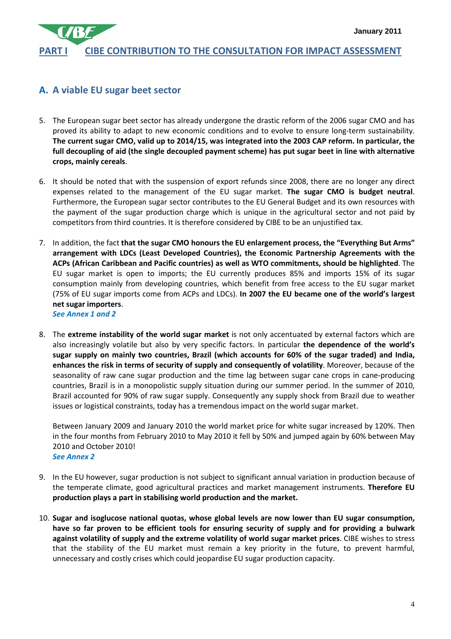# **PART I CIBE CONTRIBUTION TO THE CONSULTATION FOR IMPACT ASSESSMENT**

# **A. A viable EU sugar beet sector**

- 5. The European sugar beet sector has already undergone the drastic reform of the 2006 sugar CMO and has proved its ability to adapt to new economic conditions and to evolve to ensure long-term sustainability. **The current sugar CMO, valid up to 2014/15, was integrated into the 2003 CAP reform. In particular, the full decoupling of aid (the single decoupled payment scheme) has put sugar beet in line with alternative crops, mainly cereals**.
- 6. It should be noted that with the suspension of export refunds since 2008, there are no longer any direct expenses related to the management of the EU sugar market. **The sugar CMO is budget neutral**. Furthermore, the European sugar sector contributes to the EU General Budget and its own resources with the payment of the sugar production charge which is unique in the agricultural sector and not paid by competitors from third countries. It is therefore considered by CIBE to be an unjustified tax.
- 7. In addition, the fact **that the sugar CMO honours the EU enlargement process, the "Everything But Arms" arrangement with LDCs (Least Developed Countries), the Economic Partnership Agreements with the ACPs (African Caribbean and Pacific countries) as well as WTO commitments, should be highlighted**. The EU sugar market is open to imports; the EU currently produces 85% and imports 15% of its sugar consumption mainly from developing countries, which benefit from free access to the EU sugar market (75% of EU sugar imports come from ACPs and LDCs). **In 2007 the EU became one of the world's largest net sugar importers**. *See Annex 1 and 2*
- 8. The **extreme instability of the world sugar market** is not only accentuated by external factors which are also increasingly volatile but also by very specific factors. In particular **the dependence of the world's sugar supply on mainly two countries, Brazil (which accounts for 60% of the sugar traded) and India, enhances the risk in terms of security of supply and consequently of volatility**. Moreover, because of the seasonality of raw cane sugar production and the time lag between sugar cane crops in cane-producing countries, Brazil is in a monopolistic supply situation during our summer period. In the summer of 2010, Brazil accounted for 90% of raw sugar supply. Consequently any supply shock from Brazil due to weather issues or logistical constraints, today has a tremendous impact on the world sugar market.

Between January 2009 and January 2010 the world market price for white sugar increased by 120%. Then in the four months from February 2010 to May 2010 it fell by 50% and jumped again by 60% between May 2010 and October 2010!

- *See Annex 2*
- 9. In the EU however, sugar production is not subject to significant annual variation in production because of the temperate climate, good agricultural practices and market management instruments. **Therefore EU production plays a part in stabilising world production and the market.**
- 10. **Sugar and isoglucose national quotas, whose global levels are now lower than EU sugar consumption, have so far proven to be efficient tools for ensuring security of supply and for providing a bulwark against volatility of supply and the extreme volatility of world sugar market prices**. CIBE wishes to stress that the stability of the EU market must remain a key priority in the future, to prevent harmful, unnecessary and costly crises which could jeopardise EU sugar production capacity.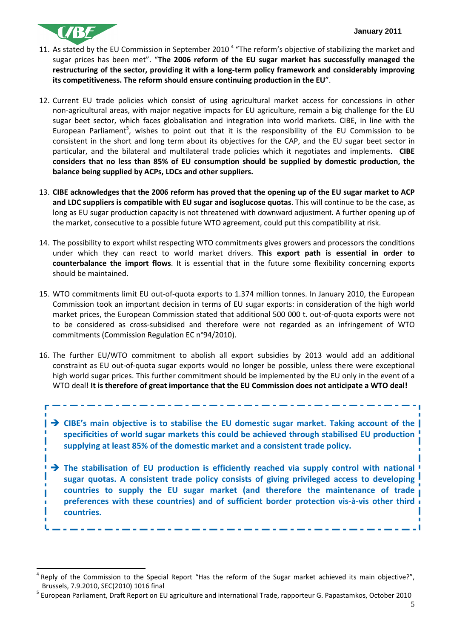

- 11. As stated by the EU Commission in September 2010<sup>4</sup> "The reform's objective of stabilizing the market and sugar prices has been met". "**The 2006 reform of the EU sugar market has successfully managed the restructuring of the sector, providing it with a long-term policy framework and considerably improving its competitiveness. The reform should ensure continuing production in the EU**".
- 12. Current EU trade policies which consist of using agricultural market access for concessions in other non-agricultural areas, with major negative impacts for EU agriculture, remain a big challenge for the EU sugar beet sector, which faces globalisation and integration into world markets. CIBE, in line with the European Parliament<sup>5</sup>, wishes to point out that it is the responsibility of the EU Commission to be consistent in the short and long term about its objectives for the CAP, and the EU sugar beet sector in particular, and the bilateral and multilateral trade policies which it negotiates and implements. **CIBE considers that no less than 85% of EU consumption should be supplied by domestic production, the balance being supplied by ACPs, LDCs and other suppliers.**
- 13. **CIBE acknowledges that the 2006 reform has proved that the opening up of the EU sugar market to ACP and LDC suppliers is compatible with EU sugar and isoglucose quotas**. This will continue to be the case, as long as EU sugar production capacity is not threatened with downward adjustment. A further opening up of the market, consecutive to a possible future WTO agreement, could put this compatibility at risk.
- 14. The possibility to export whilst respecting WTO commitments gives growers and processors the conditions under which they can react to world market drivers. **This export path is essential in order to counterbalance the import flows**. It is essential that in the future some flexibility concerning exports should be maintained.
- 15. WTO commitments limit EU out-of-quota exports to 1.374 million tonnes. In January 2010, the European Commission took an important decision in terms of EU sugar exports: in consideration of the high world market prices, the European Commission stated that additional 500 000 t. out-of-quota exports were not to be considered as cross-subsidised and therefore were not regarded as an infringement of WTO commitments (Commission Regulation EC n°94/2010).
- 16. The further EU/WTO commitment to abolish all export subsidies by 2013 would add an additional constraint as EU out-of-quota sugar exports would no longer be possible, unless there were exceptional high world sugar prices. This further commitment should be implemented by the EU only in the event of a WTO deal! **It is therefore of great importance that the EU Commission does not anticipate a WTO deal!**

 **CIBE's main objective is to stabilise the EU domestic sugar market. Taking account of the specificities of world sugar markets this could be achieved through stabilised EU production supplying at least 85% of the domestic market and a consistent trade policy.** 

**The stabilisation of EU production is efficiently reached via supply control with national sugar quotas. A consistent trade policy consists of giving privileged access to developing countries to supply the EU sugar market (and therefore the maintenance of trade preferences with these countries) and of sufficient border protection vis-à-vis other third countries.** 

<sup>-</sup>4 Reply of the Commission to the Special Report "Has the reform of the Sugar market achieved its main objective?", Brussels, 7.9.2010, SEC(2010) 1016 final

<sup>&</sup>lt;sup>5</sup> European Parliament, Draft Report on EU agriculture and international Trade, rapporteur G. Papastamkos, October 2010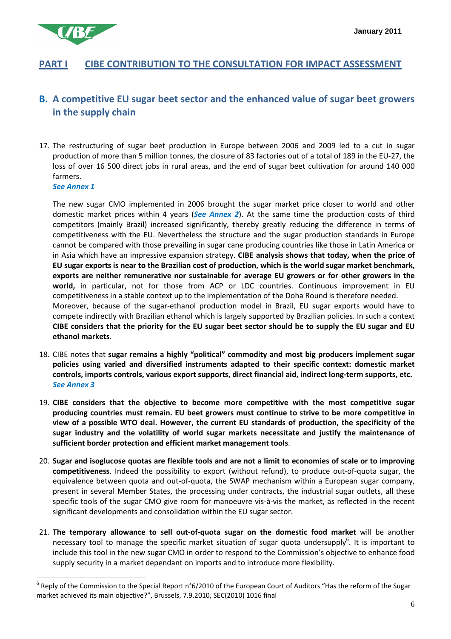

# **PART I CIBE CONTRIBUTION TO THE CONSULTATION FOR IMPACT ASSESSMENT**

# **B. A competitive EU sugar beet sector and the enhanced value of sugar beet growers in the supply chain**

17. The restructuring of sugar beet production in Europe between 2006 and 2009 led to a cut in sugar production of more than 5 million tonnes, the closure of 83 factories out of a total of 189 in the EU-27, the loss of over 16 500 direct jobs in rural areas, and the end of sugar beet cultivation for around 140 000 farmers.

*See Annex 1* 

l

The new sugar CMO implemented in 2006 brought the sugar market price closer to world and other domestic market prices within 4 years (*See Annex 2*). At the same time the production costs of third competitors (mainly Brazil) increased significantly, thereby greatly reducing the difference in terms of competitiveness with the EU. Nevertheless the structure and the sugar production standards in Europe cannot be compared with those prevailing in sugar cane producing countries like those in Latin America or in Asia which have an impressive expansion strategy. **CIBE analysis shows that today, when the price of EU sugar exports is near to the Brazilian cost of production, which is the world sugar market benchmark, exports are neither remunerative nor sustainable for average EU growers or for other growers in the world,** in particular, not for those from ACP or LDC countries. Continuous improvement in EU competitiveness in a stable context up to the implementation of the Doha Round is therefore needed. Moreover, because of the sugar-ethanol production model in Brazil, EU sugar exports would have to compete indirectly with Brazilian ethanol which is largely supported by Brazilian policies. In such a context **CIBE considers that the priority for the EU sugar beet sector should be to supply the EU sugar and EU ethanol markets**.

- 18. CIBE notes that **sugar remains a highly "political" commodity and most big producers implement sugar policies using varied and diversified instruments adapted to their specific context: domestic market controls, imports controls, various export supports, direct financial aid, indirect long-term supports, etc.**  *See Annex 3*
- 19. **CIBE considers that the objective to become more competitive with the most competitive sugar producing countries must remain. EU beet growers must continue to strive to be more competitive in view of a possible WTO deal. However, the current EU standards of production, the specificity of the sugar industry and the volatility of world sugar markets necessitate and justify the maintenance of sufficient border protection and efficient market management tools**.
- 20. **Sugar and isoglucose quotas are flexible tools and are not a limit to economies of scale or to improving competitiveness**. Indeed the possibility to export (without refund), to produce out-of-quota sugar, the equivalence between quota and out-of-quota, the SWAP mechanism within a European sugar company, present in several Member States, the processing under contracts, the industrial sugar outlets, all these specific tools of the sugar CMO give room for manoeuvre vis-à-vis the market, as reflected in the recent significant developments and consolidation within the EU sugar sector.
- 21. **The temporary allowance to sell out-of-quota sugar on the domestic food market** will be another necessary tool to manage the specific market situation of sugar quota undersupply<sup>6</sup>. It is important to include this tool in the new sugar CMO in order to respond to the Commission's objective to enhance food supply security in a market dependant on imports and to introduce more flexibility.

 $^6$  Reply of the Commission to the Special Report n°6/2010 of the European Court of Auditors "Has the reform of the Sugar market achieved its main objective?", Brussels, 7.9.2010, SEC(2010) 1016 final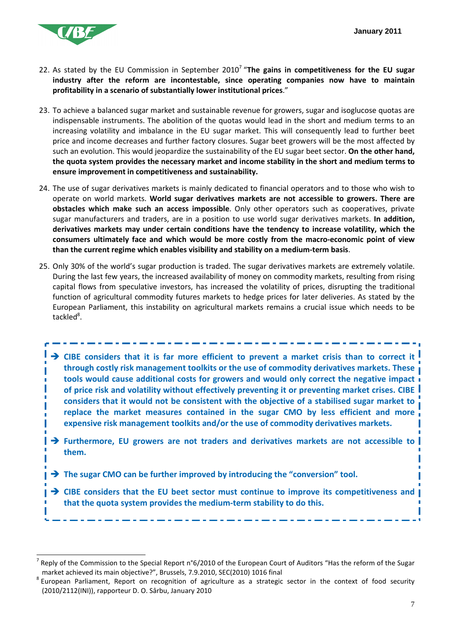

l

- 22. As stated by the EU Commission in September 2010<sup>7</sup> "**The gains in competitiveness for the EU sugar industry after the reform are incontestable, since operating companies now have to maintain profitability in a scenario of substantially lower institutional prices**."
- 23. To achieve a balanced sugar market and sustainable revenue for growers, sugar and isoglucose quotas are indispensable instruments. The abolition of the quotas would lead in the short and medium terms to an increasing volatility and imbalance in the EU sugar market. This will consequently lead to further beet price and income decreases and further factory closures. Sugar beet growers will be the most affected by such an evolution. This would jeopardize the sustainability of the EU sugar beet sector. **On the other hand, the quota system provides the necessary market and income stability in the short and medium terms to ensure improvement in competitiveness and sustainability.**
- 24. The use of sugar derivatives markets is mainly dedicated to financial operators and to those who wish to operate on world markets. **World sugar derivatives markets are not accessible to growers. There are obstacles which make such an access impossible**. Only other operators such as cooperatives, private sugar manufacturers and traders, are in a position to use world sugar derivatives markets. **In addition, derivatives markets may under certain conditions have the tendency to increase volatility, which the consumers ultimately face and which would be more costly from the macro-economic point of view than the current regime which enables visibility and stability on a medium-term basis**.
- 25. Only 30% of the world's sugar production is traded. The sugar derivatives markets are extremely volatile. During the last few years, the increased availability of money on commodity markets, resulting from rising capital flows from speculative investors, has increased the volatility of prices, disrupting the traditional function of agricultural commodity futures markets to hedge prices for later deliveries. As stated by the European Parliament, this instability on agricultural markets remains a crucial issue which needs to be tackled<sup>8</sup>.
	- **CIBE considers that it is far more efficient to prevent a market crisis than to correct it through costly risk management toolkits or the use of commodity derivatives markets. These tools would cause additional costs for growers and would only correct the negative impact of price risk and volatility without effectively preventing it or preventing market crises. CIBE considers that it would not be consistent with the objective of a stabilised sugar market to replace the market measures contained in the sugar CMO by less efficient and more expensive risk management toolkits and/or the use of commodity derivatives markets.**
	- **Furthermore, EU growers are not traders and derivatives markets are not accessible to them.**
	- **→** The sugar CMO can be further improved by introducing the "conversion" tool.
	- **CIBE considers that the EU beet sector must continue to improve its competitiveness and that the quota system provides the medium-term stability to do this.**

<sup>7</sup> Reply of the Commission to the Special Report n°6/2010 of the European Court of Auditors "Has the reform of the Sugar market achieved its main objective?", Brussels, 7.9.2010, SEC(2010) 1016 final

<sup>&</sup>lt;sup>8</sup> European Parliament, Report on recognition of agriculture as a strategic sector in the context of food security (2010/2112(INI)), rapporteur D. O. Sârbu, January 2010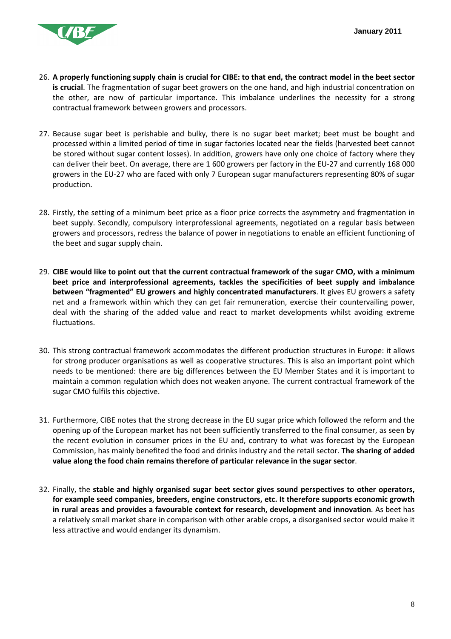

- 26. **A properly functioning supply chain is crucial for CIBE: to that end, the contract model in the beet sector is crucial**. The fragmentation of sugar beet growers on the one hand, and high industrial concentration on the other, are now of particular importance. This imbalance underlines the necessity for a strong contractual framework between growers and processors.
- 27. Because sugar beet is perishable and bulky, there is no sugar beet market; beet must be bought and processed within a limited period of time in sugar factories located near the fields (harvested beet cannot be stored without sugar content losses). In addition, growers have only one choice of factory where they can deliver their beet. On average, there are 1 600 growers per factory in the EU-27 and currently 168 000 growers in the EU-27 who are faced with only 7 European sugar manufacturers representing 80% of sugar production.
- 28. Firstly, the setting of a minimum beet price as a floor price corrects the asymmetry and fragmentation in beet supply. Secondly, compulsory interprofessional agreements, negotiated on a regular basis between growers and processors, redress the balance of power in negotiations to enable an efficient functioning of the beet and sugar supply chain.
- 29. **CIBE would like to point out that the current contractual framework of the sugar CMO, with a minimum beet price and interprofessional agreements, tackles the specificities of beet supply and imbalance between "fragmented" EU growers and highly concentrated manufacturers**. It gives EU growers a safety net and a framework within which they can get fair remuneration, exercise their countervailing power, deal with the sharing of the added value and react to market developments whilst avoiding extreme fluctuations.
- 30. This strong contractual framework accommodates the different production structures in Europe: it allows for strong producer organisations as well as cooperative structures. This is also an important point which needs to be mentioned: there are big differences between the EU Member States and it is important to maintain a common regulation which does not weaken anyone. The current contractual framework of the sugar CMO fulfils this objective.
- 31. Furthermore, CIBE notes that the strong decrease in the EU sugar price which followed the reform and the opening up of the European market has not been sufficiently transferred to the final consumer, as seen by the recent evolution in consumer prices in the EU and, contrary to what was forecast by the European Commission, has mainly benefited the food and drinks industry and the retail sector. **The sharing of added value along the food chain remains therefore of particular relevance in the sugar sector**.
- 32. Finally, the **stable and highly organised sugar beet sector gives sound perspectives to other operators, for example seed companies, breeders, engine constructors, etc. It therefore supports economic growth in rural areas and provides a favourable context for research, development and innovation**. As beet has a relatively small market share in comparison with other arable crops, a disorganised sector would make it less attractive and would endanger its dynamism.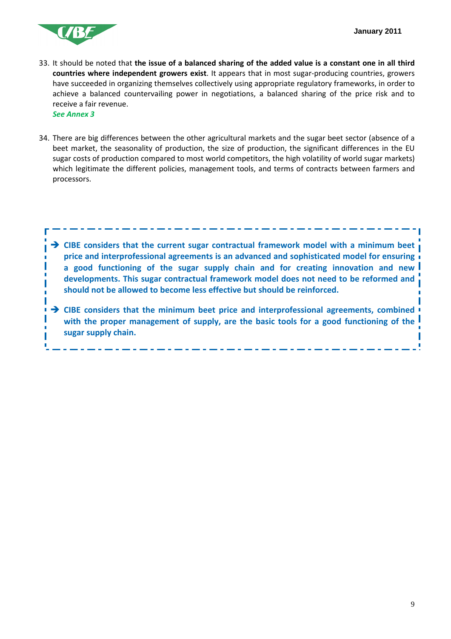

- 33. It should be noted that **the issue of a balanced sharing of the added value is a constant one in all third countries where independent growers exist**. It appears that in most sugar-producing countries, growers have succeeded in organizing themselves collectively using appropriate regulatory frameworks, in order to achieve a balanced countervailing power in negotiations, a balanced sharing of the price risk and to receive a fair revenue. *See Annex 3*
- 34. There are big differences between the other agricultural markets and the sugar beet sector (absence of a beet market, the seasonality of production, the size of production, the significant differences in the EU sugar costs of production compared to most world competitors, the high volatility of world sugar markets) which legitimate the different policies, management tools, and terms of contracts between farmers and processors.



**sugar supply chain.**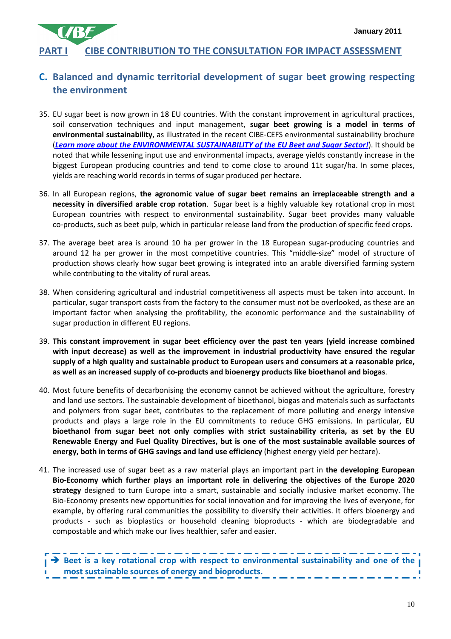# **PART I CIBE CONTRIBUTION TO THE CONSULTATION FOR IMPACT ASSESSMENT**

## **C. Balanced and dynamic territorial development of sugar beet growing respecting the environment**

- 35. EU sugar beet is now grown in 18 EU countries. With the constant improvement in agricultural practices, soil conservation techniques and input management, **sugar beet growing is a model in terms of environmental sustainability**, as illustrated in the recent CIBE-CEFS environmental sustainability brochure (*Learn more about the ENVIRONMENTAL SUSTAINABILITY of the EU Beet and Sugar Sector!*). It should be noted that while lessening input use and environmental impacts, average yields constantly increase in the biggest European producing countries and tend to come close to around 11t sugar/ha. In some places, yields are reaching world records in terms of sugar produced per hectare.
- 36. In all European regions, **the agronomic value of sugar beet remains an irreplaceable strength and a necessity in diversified arable crop rotation**. Sugar beet is a highly valuable key rotational crop in most European countries with respect to environmental sustainability. Sugar beet provides many valuable co-products, such as beet pulp, which in particular release land from the production of specific feed crops.
- 37. The average beet area is around 10 ha per grower in the 18 European sugar-producing countries and around 12 ha per grower in the most competitive countries. This "middle-size" model of structure of production shows clearly how sugar beet growing is integrated into an arable diversified farming system while contributing to the vitality of rural areas.
- 38. When considering agricultural and industrial competitiveness all aspects must be taken into account. In particular, sugar transport costs from the factory to the consumer must not be overlooked, as these are an important factor when analysing the profitability, the economic performance and the sustainability of sugar production in different EU regions.
- 39. **This constant improvement in sugar beet efficiency over the past ten years (yield increase combined with input decrease) as well as the improvement in industrial productivity have ensured the regular supply of a high quality and sustainable product to European users and consumers at a reasonable price, as well as an increased supply of co-products and bioenergy products like bioethanol and biogas**.
- 40. Most future benefits of decarbonising the economy cannot be achieved without the agriculture, forestry and land use sectors. The sustainable development of bioethanol, biogas and materials such as surfactants and polymers from sugar beet, contributes to the replacement of more polluting and energy intensive products and plays a large role in the EU commitments to reduce GHG emissions. In particular, **EU bioethanol from sugar beet not only complies with strict sustainability criteria, as set by the EU Renewable Energy and Fuel Quality Directives, but is one of the most sustainable available sources of energy, both in terms of GHG savings and land use efficiency** (highest energy yield per hectare).
- 41. The increased use of sugar beet as a raw material plays an important part in **the developing European Bio-Economy which further plays an important role in delivering the objectives of the Europe 2020 strategy** designed to turn Europe into a smart, sustainable and socially inclusive market economy. The Bio-Economy presents new opportunities for social innovation and for improving the lives of everyone, for example, by offering rural communities the possibility to diversify their activities. It offers bioenergy and products - such as bioplastics or household cleaning bioproducts - which are biodegradable and compostable and which make our lives healthier, safer and easier.

 **Beet is a key rotational crop with respect to environmental sustainability and one of the most sustainable sources of energy and bioproducts.**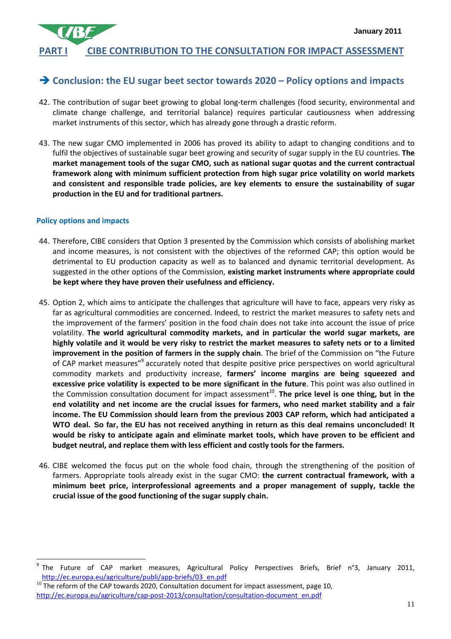# **PART I CIBE CONTRIBUTION TO THE CONSULTATION FOR IMPACT ASSESSMENT**

# **Conclusion: the EU sugar beet sector towards 2020 – Policy options and impacts**

- 42. The contribution of sugar beet growing to global long-term challenges (food security, environmental and climate change challenge, and territorial balance) requires particular cautiousness when addressing market instruments of this sector, which has already gone through a drastic reform.
- 43. The new sugar CMO implemented in 2006 has proved its ability to adapt to changing conditions and to fulfil the objectives of sustainable sugar beet growing and security of sugar supply in the EU countries. **The market management tools of the sugar CMO, such as national sugar quotas and the current contractual framework along with minimum sufficient protection from high sugar price volatility on world markets and consistent and responsible trade policies, are key elements to ensure the sustainability of sugar production in the EU and for traditional partners.**

#### **Policy options and impacts**

- 44. Therefore, CIBE considers that Option 3 presented by the Commission which consists of abolishing market and income measures, is not consistent with the objectives of the reformed CAP; this option would be detrimental to EU production capacity as well as to balanced and dynamic territorial development. As suggested in the other options of the Commission, **existing market instruments where appropriate could be kept where they have proven their usefulness and efficiency.**
- 45. Option 2, which aims to anticipate the challenges that agriculture will have to face, appears very risky as far as agricultural commodities are concerned. Indeed, to restrict the market measures to safety nets and the improvement of the farmers' position in the food chain does not take into account the issue of price volatility. **The world agricultural commodity markets, and in particular the world sugar markets, are highly volatile and it would be very risky to restrict the market measures to safety nets or to a limited improvement in the position of farmers in the supply chain**. The brief of the Commission on "the Future of CAP market measures"<sup>9</sup> accurately noted that despite positive price perspectives on world agricultural commodity markets and productivity increase, **farmers' income margins are being squeezed and excessive price volatility is expected to be more significant in the future**. This point was also outlined in the Commission consultation document for impact assessment<sup>10</sup>. **The price level is one thing, but in the end volatility and net income are the crucial issues for farmers, who need market stability and a fair income. The EU Commission should learn from the previous 2003 CAP reform, which had anticipated a WTO deal. So far, the EU has not received anything in return as this deal remains unconcluded! It would be risky to anticipate again and eliminate market tools, which have proven to be efficient and budget neutral, and replace them with less efficient and costly tools for the farmers.**
- 46. CIBE welcomed the focus put on the whole food chain, through the strengthening of the position of farmers. Appropriate tools already exist in the sugar CMO: **the current contractual framework, with a minimum beet price, interprofessional agreements and a proper management of supply, tackle the crucial issue of the good functioning of the sugar supply chain.**

 9 The Future of CAP market measures, Agricultural Policy Perspectives Briefs, Brief n°3, January 2011, http://ec.europa.eu/agriculture/publi/app-briefs/03\_en.pdf

 $10$  The reform of the CAP towards 2020, Consultation document for impact assessment, page 10, http://ec.europa.eu/agriculture/cap-post-2013/consultation/consultation-document\_en.pdf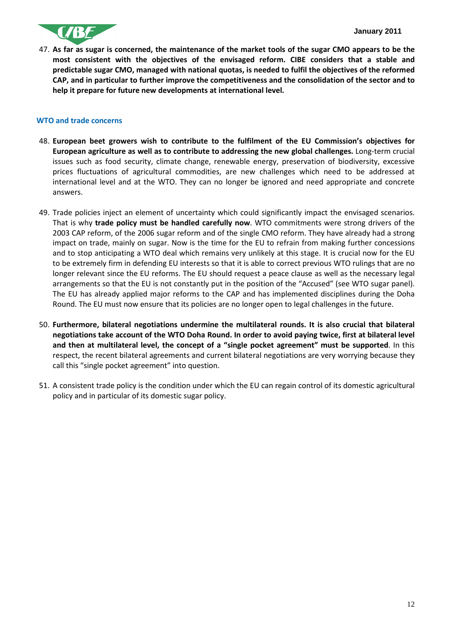

47. **As far as sugar is concerned, the maintenance of the market tools of the sugar CMO appears to be the most consistent with the objectives of the envisaged reform. CIBE considers that a stable and predictable sugar CMO, managed with national quotas, is needed to fulfil the objectives of the reformed CAP, and in particular to further improve the competitiveness and the consolidation of the sector and to help it prepare for future new developments at international level.**

#### **WTO and trade concerns**

- 48. **European beet growers wish to contribute to the fulfilment of the EU Commission's objectives for European agriculture as well as to contribute to addressing the new global challenges.** Long-term crucial issues such as food security, climate change, renewable energy, preservation of biodiversity, excessive prices fluctuations of agricultural commodities, are new challenges which need to be addressed at international level and at the WTO. They can no longer be ignored and need appropriate and concrete answers.
- 49. Trade policies inject an element of uncertainty which could significantly impact the envisaged scenarios. That is why **trade policy must be handled carefully now**. WTO commitments were strong drivers of the 2003 CAP reform, of the 2006 sugar reform and of the single CMO reform. They have already had a strong impact on trade, mainly on sugar. Now is the time for the EU to refrain from making further concessions and to stop anticipating a WTO deal which remains very unlikely at this stage. It is crucial now for the EU to be extremely firm in defending EU interests so that it is able to correct previous WTO rulings that are no longer relevant since the EU reforms. The EU should request a peace clause as well as the necessary legal arrangements so that the EU is not constantly put in the position of the "Accused" (see WTO sugar panel). The EU has already applied major reforms to the CAP and has implemented disciplines during the Doha Round. The EU must now ensure that its policies are no longer open to legal challenges in the future.
- 50. **Furthermore, bilateral negotiations undermine the multilateral rounds. It is also crucial that bilateral negotiations take account of the WTO Doha Round. In order to avoid paying twice, first at bilateral level and then at multilateral level, the concept of a "single pocket agreement" must be supported**. In this respect, the recent bilateral agreements and current bilateral negotiations are very worrying because they call this "single pocket agreement" into question.
- 51. A consistent trade policy is the condition under which the EU can regain control of its domestic agricultural policy and in particular of its domestic sugar policy.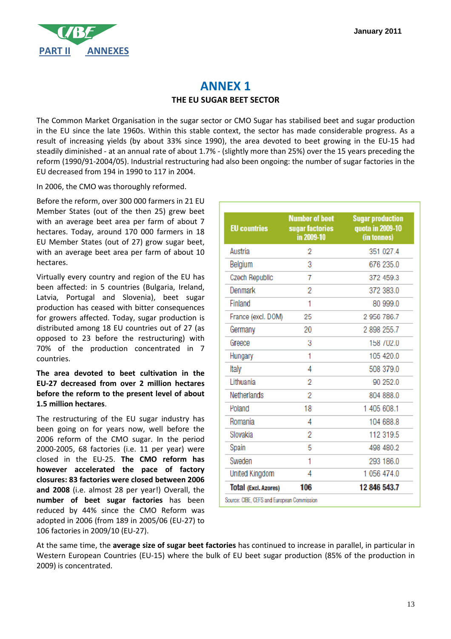

# **ANNEX 1 THE EU SUGAR BEET SECTOR**

The Common Market Organisation in the sugar sector or CMO Sugar has stabilised beet and sugar production in the EU since the late 1960s. Within this stable context, the sector has made considerable progress. As a result of increasing yields (by about 33% since 1990), the area devoted to beet growing in the EU-15 had steadily diminished - at an annual rate of about 1.7% - (slightly more than 25%) over the 15 years preceding the reform (1990/91-2004/05). Industrial restructuring had also been ongoing: the number of sugar factories in the EU decreased from 194 in 1990 to 117 in 2004.

In 2006, the CMO was thoroughly reformed.

Before the reform, over 300 000 farmers in 21 EU Member States (out of the then 25) grew beet with an average beet area per farm of about 7 hectares. Today, around 170 000 farmers in 18 EU Member States (out of 27) grow sugar beet, with an average beet area per farm of about 10 hectares.

Virtually every country and region of the EU has been affected: in 5 countries (Bulgaria, Ireland, Latvia, Portugal and Slovenia), beet sugar production has ceased with bitter consequences for growers affected. Today, sugar production is distributed among 18 EU countries out of 27 (as opposed to 23 before the restructuring) with 70% of the production concentrated in 7 countries.

**The area devoted to beet cultivation in the EU-27 decreased from over 2 million hectares before the reform to the present level of about 1.5 million hectares**.

The restructuring of the EU sugar industry has been going on for years now, well before the 2006 reform of the CMO sugar. In the period 2000-2005, 68 factories (i.e. 11 per year) were closed in the EU-25. **The CMO reform has however accelerated the pace of factory closures: 83 factories were closed between 2006 and 2008** (i.e. almost 28 per year!) Overall, the **number of beet sugar factories** has been reduced by 44% since the CMO Reform was adopted in 2006 (from 189 in 2005/06 (EU-27) to 106 factories in 2009/10 (EU-27).

| <b>EU</b> countries         | <b>Number of beet</b><br>sugar factories<br>in 2009-10 | <b>Sugar production</b><br>quota in 2009-10<br>(in tonnes) |
|-----------------------------|--------------------------------------------------------|------------------------------------------------------------|
| Austria                     | 2                                                      | 351 027.4                                                  |
| Belgium                     | 3                                                      | 676 235.0                                                  |
| Czech Republic              | 7                                                      | 372 459.3                                                  |
| Denmark                     | 2                                                      | 372 383.0                                                  |
| Finland                     | 1                                                      | 80 999.0                                                   |
| France (excl. DOM)          | 25                                                     | 2 956 786.7                                                |
| Germany                     | 20                                                     | 2 898 255.7                                                |
| Greece                      | 3                                                      | 158 / 02.0                                                 |
| Hungary                     | 1                                                      | 105 420.0                                                  |
| Italy                       | 4                                                      | 508 379.0                                                  |
| Lithuania                   | 2                                                      | 90 252.0                                                   |
| Netherlands                 | 2                                                      | 804 888.0                                                  |
| Poland                      | 18                                                     | 1 405 608.1                                                |
| Romania                     | 4                                                      | 104 688.8                                                  |
| Slovakia                    | 2                                                      | 112 319.5                                                  |
| Spain                       | 5                                                      | 498 480.2                                                  |
| Sweden                      | 1                                                      | 293 186.0                                                  |
| <b>United Kingdom</b>       | 4                                                      | 1 056 474.0                                                |
| <b>Total (Excl. Azores)</b> | 106                                                    | 12 846 543.7                                               |

At the same time, the **average size of sugar beet factories** has continued to increase in parallel, in particular in Western European Countries (EU-15) where the bulk of EU beet sugar production (85% of the production in 2009) is concentrated.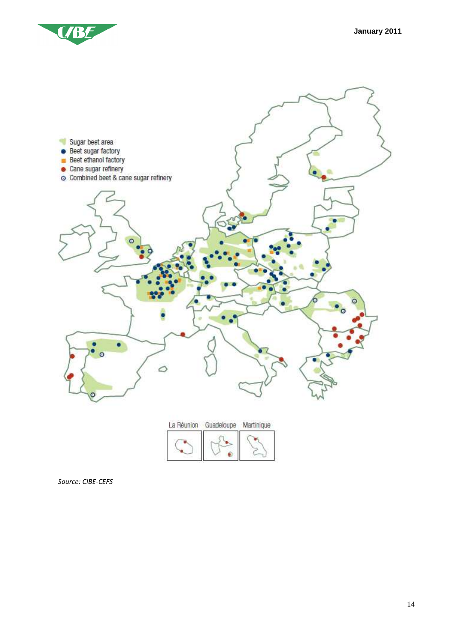



*Source: CIBE-CEFS*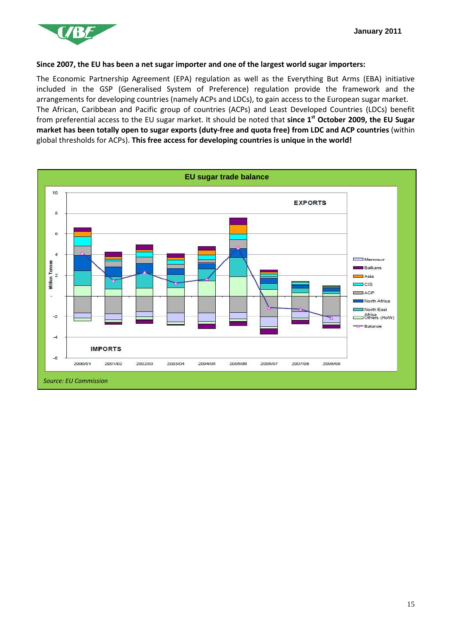

#### **Since 2007, the EU has been a net sugar importer and one of the largest world sugar importers:**

The Economic Partnership Agreement (EPA) regulation as well as the Everything But Arms (EBA) initiative included in the GSP (Generalised System of Preference) regulation provide the framework and the arrangements for developing countries (namely ACPs and LDCs), to gain access to the European sugar market. The African, Caribbean and Pacific group of countries (ACPs) and Least Developed Countries (LDCs) benefit from preferential access to the EU sugar market. It should be noted that **since 1st October 2009, the EU Sugar market has been totally open to sugar exports (duty-free and quota free) from LDC and ACP countries** (within global thresholds for ACPs). **This free access for developing countries is unique in the world!** 

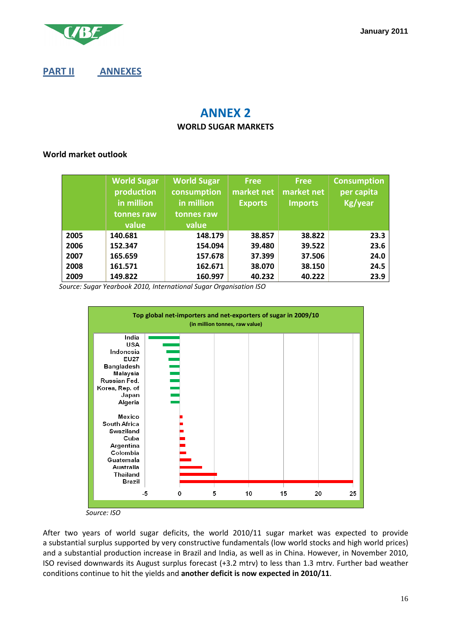

**January 2011**

## **PART II ANNEXES**

# **ANNEX 2 WORLD SUGAR MARKETS**

#### **World market outlook**

|      | <b>World Sugar</b><br>production<br>in million<br>tonnes raw<br>value | <b>World Sugar</b><br>consumption<br>in million<br>tonnes raw<br>value | <b>Free</b><br>market net<br><b>Exports</b> | <b>Free</b><br>market net<br><b>Imports</b> | <b>Consumption</b><br>per capita<br>Kg/year |
|------|-----------------------------------------------------------------------|------------------------------------------------------------------------|---------------------------------------------|---------------------------------------------|---------------------------------------------|
| 2005 | 140.681                                                               | 148.179                                                                | 38.857                                      | 38.822                                      | 23.3                                        |
| 2006 | 152.347                                                               | 154.094                                                                | 39.480                                      | 39.522                                      | 23.6                                        |
| 2007 | 165.659                                                               | 157.678                                                                | 37.399                                      | 37.506                                      | 24.0                                        |
| 2008 | 161.571                                                               | 162.671                                                                | 38.070                                      | 38.150                                      | 24.5                                        |
| 2009 | 149.822                                                               | 160.997                                                                | 40.232                                      | 40.222                                      | 23.9                                        |

 *Source: Sugar Yearbook 2010, International Sugar Organisation ISO* 



 *Source: ISO* 

After two years of world sugar deficits, the world 2010/11 sugar market was expected to provide a substantial surplus supported by very constructive fundamentals (low world stocks and high world prices) and a substantial production increase in Brazil and India, as well as in China. However, in November 2010, ISO revised downwards its August surplus forecast (+3.2 mtrv) to less than 1.3 mtrv. Further bad weather conditions continue to hit the yields and **another deficit is now expected in 2010/11**.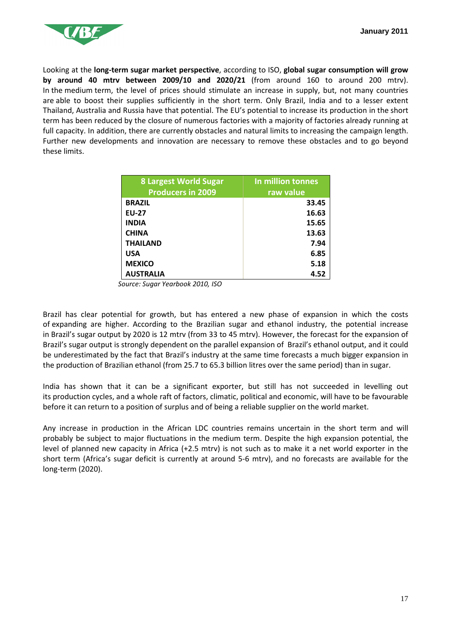

Looking at the **long-term sugar market perspective**, according to ISO, **global sugar consumption will grow by around 40 mtrv between 2009/10 and 2020/21** (from around 160 to around 200 mtrv). In the medium term, the level of prices should stimulate an increase in supply, but, not many countries are able to boost their supplies sufficiently in the short term. Only Brazil, India and to a lesser extent Thailand, Australia and Russia have that potential. The EU's potential to increase its production in the short term has been reduced by the closure of numerous factories with a majority of factories already running at full capacity. In addition, there are currently obstacles and natural limits to increasing the campaign length. Further new developments and innovation are necessary to remove these obstacles and to go beyond these limits.

| <b>8 Largest World Sugar</b><br><b>Producers in 2009</b> | In million tonnes<br>raw value |
|----------------------------------------------------------|--------------------------------|
| <b>BRAZIL</b>                                            | 33.45                          |
| <b>EU-27</b>                                             | 16.63                          |
| <b>INDIA</b>                                             |                                |
|                                                          | 15.65                          |
| <b>CHINA</b>                                             | 13.63                          |
| <b>THAILAND</b>                                          | 7.94                           |
| <b>USA</b>                                               | 6.85                           |
| <b>MEXICO</b>                                            | 5.18                           |
| <b>AUSTRALIA</b>                                         | 4.52                           |

*Source: Sugar Yearbook 2010, ISO* 

Brazil has clear potential for growth, but has entered a new phase of expansion in which the costs of expanding are higher. According to the Brazilian sugar and ethanol industry, the potential increase in Brazil's sugar output by 2020 is 12 mtrv (from 33 to 45 mtrv). However, the forecast for the expansion of Brazil's sugar output is strongly dependent on the parallel expansion of Brazil's ethanol output, and it could be underestimated by the fact that Brazil's industry at the same time forecasts a much bigger expansion in the production of Brazilian ethanol (from 25.7 to 65.3 billion litres over the same period) than in sugar.

India has shown that it can be a significant exporter, but still has not succeeded in levelling out its production cycles, and a whole raft of factors, climatic, political and economic, will have to be favourable before it can return to a position of surplus and of being a reliable supplier on the world market.

Any increase in production in the African LDC countries remains uncertain in the short term and will probably be subject to major fluctuations in the medium term. Despite the high expansion potential, the level of planned new capacity in Africa (+2.5 mtrv) is not such as to make it a net world exporter in the short term (Africa's sugar deficit is currently at around 5-6 mtrv), and no forecasts are available for the long-term (2020).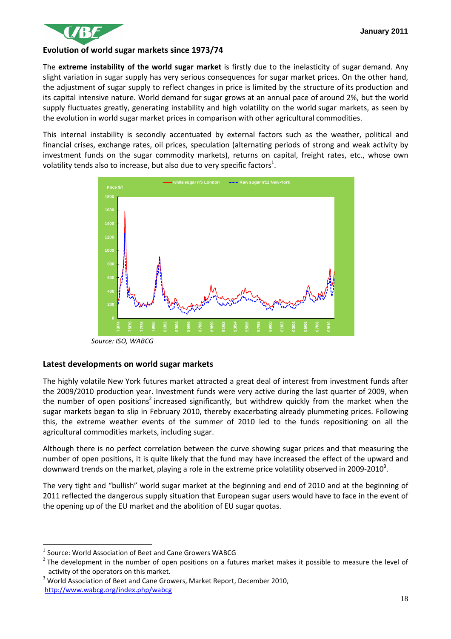

#### **Evolution of world sugar markets since 1973/74**

The **extreme instability of the world sugar market** is firstly due to the inelasticity of sugar demand. Any slight variation in sugar supply has very serious consequences for sugar market prices. On the other hand, the adjustment of sugar supply to reflect changes in price is limited by the structure of its production and its capital intensive nature. World demand for sugar grows at an annual pace of around 2%, but the world supply fluctuates greatly, generating instability and high volatility on the world sugar markets, as seen by the evolution in world sugar market prices in comparison with other agricultural commodities.

This internal instability is secondly accentuated by external factors such as the weather, political and financial crises, exchange rates, oil prices, speculation (alternating periods of strong and weak activity by investment funds on the sugar commodity markets), returns on capital, freight rates, etc., whose own volatility tends also to increase, but also due to very specific factors<sup>1</sup>.



#### **Latest developments on world sugar markets**

The highly volatile New York futures market attracted a great deal of interest from investment funds after the 2009/2010 production year. Investment funds were very active during the last quarter of 2009, when the number of open positions<sup>2</sup> increased significantly, but withdrew quickly from the market when the sugar markets began to slip in February 2010, thereby exacerbating already plummeting prices. Following this, the extreme weather events of the summer of 2010 led to the funds repositioning on all the agricultural commodities markets, including sugar.

Although there is no perfect correlation between the curve showing sugar prices and that measuring the number of open positions, it is quite likely that the fund may have increased the effect of the upward and downward trends on the market, playing a role in the extreme price volatility observed in 2009-2010<sup>3</sup>.

The very tight and "bullish" world sugar market at the beginning and end of 2010 and at the beginning of 2011 reflected the dangerous supply situation that European sugar users would have to face in the event of the opening up of the EU market and the abolition of EU sugar quotas.

 $\overline{a}$ 

3 World Association of Beet and Cane Growers, Market Report, December 2010, http://www.wabcg.org/index.php/wabcg

<sup>1</sup> Source: World Association of Beet and Cane Growers WABCG

 $2$  The development in the number of open positions on a futures market makes it possible to measure the level of activity of the operators on this market.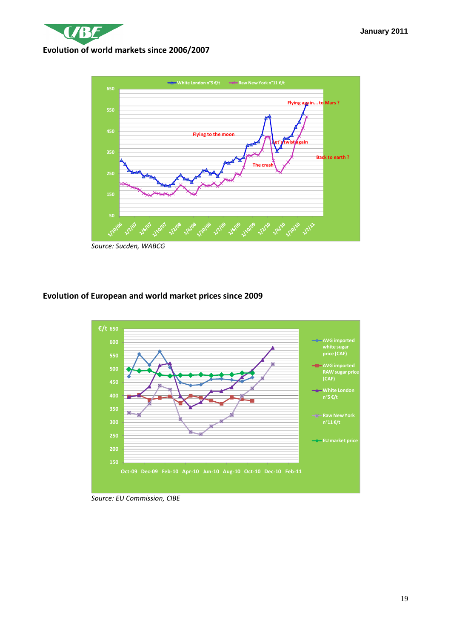

*Source: Sucden, WABCG* 

### **Evolution of European and world market prices since 2009**



*Source: EU Commission, CIBE*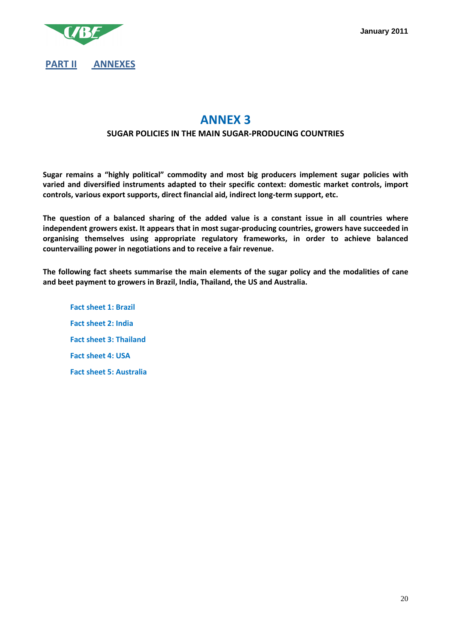

# **ANNEX 3**

#### **SUGAR POLICIES IN THE MAIN SUGAR-PRODUCING COUNTRIES**

**Sugar remains a "highly political" commodity and most big producers implement sugar policies with varied and diversified instruments adapted to their specific context: domestic market controls, import controls, various export supports, direct financial aid, indirect long-term support, etc.** 

**The question of a balanced sharing of the added value is a constant issue in all countries where independent growers exist. It appears that in most sugar-producing countries, growers have succeeded in organising themselves using appropriate regulatory frameworks, in order to achieve balanced countervailing power in negotiations and to receive a fair revenue.** 

**The following fact sheets summarise the main elements of the sugar policy and the modalities of cane and beet payment to growers in Brazil, India, Thailand, the US and Australia.** 

 **Fact sheet 1: Brazil Fact sheet 2: India Fact sheet 3: Thailand Fact sheet 4: USA Fact sheet 5: Australia**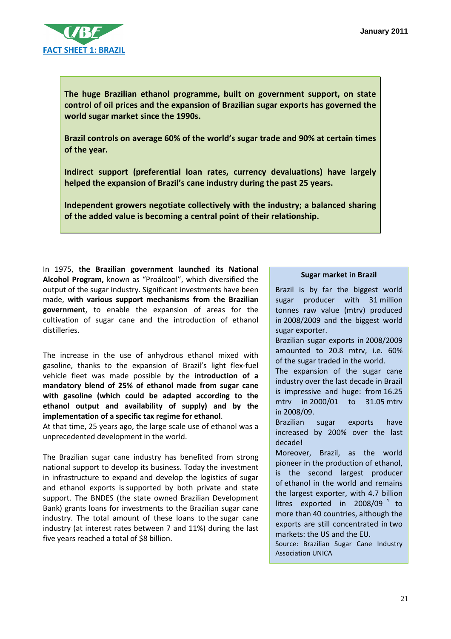

**The huge Brazilian ethanol programme, built on government support, on state control of oil prices and the expansion of Brazilian sugar exports has governed the world sugar market since the 1990s.** 

**Brazil controls on average 60% of the world's sugar trade and 90% at certain times of the year.** 

**Indirect support (preferential loan rates, currency devaluations) have largely helped the expansion of Brazil's cane industry during the past 25 years.** 

**Independent growers negotiate collectively with the industry; a balanced sharing of the added value is becoming a central point of their relationship.** 

In 1975, **the Brazilian government launched its National Alcohol Program,** known as "Proálcool", which diversified the output of the sugar industry. Significant investments have been made, **with various support mechanisms from the Brazilian government**, to enable the expansion of areas for the cultivation of sugar cane and the introduction of ethanol distilleries.

The increase in the use of anhydrous ethanol mixed with gasoline, thanks to the expansion of Brazil's light flex-fuel vehicle fleet was made possible by the **introduction of a mandatory blend of 25% of ethanol made from sugar cane with gasoline (which could be adapted according to the ethanol output and availability of supply) and by the implementation of a specific tax regime for ethanol**.

At that time, 25 years ago, the large scale use of ethanol was a unprecedented development in the world.

The Brazilian sugar cane industry has benefited from strong national support to develop its business. Today the investment in infrastructure to expand and develop the logistics of sugar and ethanol exports is supported by both private and state support. The BNDES (the state owned Brazilian Development Bank) grants loans for investments to the Brazilian sugar cane industry. The total amount of these loans to the sugar cane industry (at interest rates between 7 and 11%) during the last five years reached a total of \$8 billion.

#### **Sugar market in Brazil**

Brazil is by far the biggest world sugar producer with 31 million tonnes raw value (mtrv) produced in 2008/2009 and the biggest world sugar exporter. Brazilian sugar exports in 2008/2009 amounted to 20.8 mtrv, i.e. 60% of the sugar traded in the world. The expansion of the sugar cane industry over the last decade in Brazil is impressive and huge: from 16.25 mtrv in 2000/01 to 31.05 mtrv in 2008/09. Brazilian sugar exports have increased by 200% over the last decade! Moreover, Brazil, as the world pioneer in the production of ethanol, is the second largest producer of ethanol in the world and remains the largest exporter, with 4.7 billion

litres exported in 2008/09  $^1$  to more than 40 countries, although the exports are still concentrated in two markets: the US and the EU.

Source: Brazilian Sugar Cane Industry Association UNICA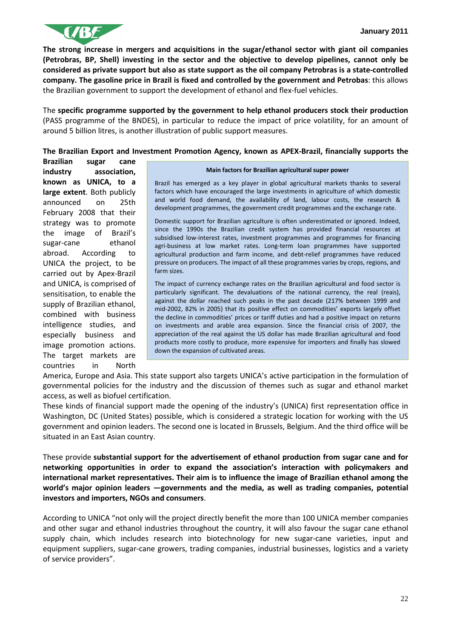

**The strong increase in mergers and acquisitions in the sugar/ethanol sector with giant oil companies (Petrobras, BP, Shell) investing in the sector and the objective to develop pipelines, cannot only be considered as private support but also as state support as the oil company Petrobras is a state-controlled company. The gasoline price in Brazil is fixed and controlled by the government and Petrobas**: this allows the Brazilian government to support the development of ethanol and flex-fuel vehicles.

The **specific programme supported by the government to help ethanol producers stock their production** (PASS programme of the BNDES), in particular to reduce the impact of price volatility, for an amount of around 5 billion litres, is another illustration of public support measures.

#### **The Brazilian Export and Investment Promotion Agency, known as APEX-Brazil, financially supports the**

**Brazilian sugar cane industry association, known as UNICA, to a large extent**. Both publicly announced on 25th February 2008 that their strategy was to promote the image of Brazil's sugar-cane ethanol abroad. According to UNICA the project, to be carried out by Apex-Brazil and UNICA, is comprised of sensitisation, to enable the supply of Brazilian ethanol, combined with business intelligence studies, and especially business and image promotion actions. The target markets are countries in North

#### **Main factors for Brazilian agricultural super power**

Brazil has emerged as a key player in global agricultural markets thanks to several factors which have encouraged the large investments in agriculture of which domestic and world food demand, the availability of land, labour costs, the research & development programmes, the government credit programmes and the exchange rate.

Domestic support for Brazilian agriculture is often underestimated or ignored. Indeed, since the 1990s the Brazilian credit system has provided financial resources at subsidised low-interest rates, investment programmes and programmes for financing agri-business at low market rates. Long-term loan programmes have supported agricultural production and farm income, and debt-relief programmes have reduced pressure on producers. The impact of all these programmes varies by crops, regions, and farm sizes.

The impact of currency exchange rates on the Brazilian agricultural and food sector is particularly significant. The devaluations of the national currency, the real (reais), against the dollar reached such peaks in the past decade (217% between 1999 and mid-2002, 82% in 2005) that its positive effect on commodities' exports largely offset the decline in commodities' prices or tariff duties and had a positive impact on returns on investments and arable area expansion. Since the financial crisis of 2007, the appreciation of the real against the US dollar has made Brazilian agricultural and food products more costly to produce, more expensive for importers and finally has slowed down the expansion of cultivated areas.

America, Europe and Asia. This state support also targets UNICA's active participation in the formulation of governmental policies for the industry and the discussion of themes such as sugar and ethanol market access, as well as biofuel certification.

These kinds of financial support made the opening of the industry's (UNICA) first representation office in Washington, DC (United States) possible, which is considered a strategic location for working with the US government and opinion leaders. The second one is located in Brussels, Belgium. And the third office will be situated in an East Asian country.

These provide **substantial support for the advertisement of ethanol production from sugar cane and for networking opportunities in order to expand the association's interaction with policymakers and international market representatives. Their aim is to influence the image of Brazilian ethanol among the world's major opinion leaders —governments and the media, as well as trading companies, potential investors and importers, NGOs and consumers**.

According to UNICA "not only will the project directly benefit the more than 100 UNICA member companies and other sugar and ethanol industries throughout the country, it will also favour the sugar cane ethanol supply chain, which includes research into biotechnology for new sugar-cane varieties, input and equipment suppliers, sugar-cane growers, trading companies, industrial businesses, logistics and a variety of service providers".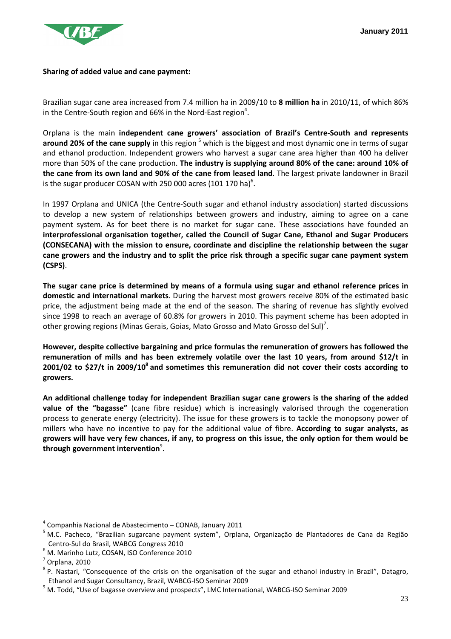

#### **Sharing of added value and cane payment:**

Brazilian sugar cane area increased from 7.4 million ha in 2009/10 to **8 million ha** in 2010/11, of which 86% in the Centre-South region and 66% in the Nord-East region<sup>4</sup>.

Orplana is the main **independent cane growers' association of Brazil's Centre-South and represents**  around 20% of the cane supply in this region <sup>5</sup> which is the biggest and most dynamic one in terms of sugar and ethanol production. Independent growers who harvest a sugar cane area higher than 400 ha deliver more than 50% of the cane production. **The industry is supplying around 80% of the cane: around 10% of the cane from its own land and 90% of the cane from leased land**. The largest private landowner in Brazil is the sugar producer COSAN with 250 000 acres (101 170 ha) $^6$ .

In 1997 Orplana and UNICA (the Centre-South sugar and ethanol industry association) started discussions to develop a new system of relationships between growers and industry, aiming to agree on a cane payment system. As for beet there is no market for sugar cane. These associations have founded an **interprofessional organisation together, called the Council of Sugar Cane, Ethanol and Sugar Producers (CONSECANA) with the mission to ensure, coordinate and discipline the relationship between the sugar cane growers and the industry and to split the price risk through a specific sugar cane payment system (CSPS)**.

**The sugar cane price is determined by means of a formula using sugar and ethanol reference prices in domestic and international markets**. During the harvest most growers receive 80% of the estimated basic price, the adjustment being made at the end of the season. The sharing of revenue has slightly evolved since 1998 to reach an average of 60.8% for growers in 2010. This payment scheme has been adopted in other growing regions (Minas Gerais, Goias, Mato Grosso and Mato Grosso del Sul)<sup>7</sup>.

**However, despite collective bargaining and price formulas the remuneration of growers has followed the remuneration of mills and has been extremely volatile over the last 10 years, from around \$12/t in 2001/02 to \$27/t in 2009/10<sup>8</sup> and sometimes this remuneration did not cover their costs according to growers.**

**An additional challenge today for independent Brazilian sugar cane growers is the sharing of the added value of the "bagasse"** (cane fibre residue) which is increasingly valorised through the cogeneration process to generate energy (electricity). The issue for these growers is to tackle the monopsony power of millers who have no incentive to pay for the additional value of fibre. **According to sugar analysts, as growers will have very few chances, if any, to progress on this issue, the only option for them would be through government intervention**<sup>9</sup> .

 $\overline{a}$ 

<sup>&</sup>lt;sup>4</sup> Companhia Nacional de Abastecimento – CONAB, January 2011

<sup>&</sup>lt;sup>5</sup> M.C. Pacheco, "Brazilian sugarcane payment system", Orplana, Organização de Plantadores de Cana da Região Centro-Sul do Brasil, WABCG Congress 2010

<sup>6</sup> M. Marinho Lutz, COSAN, ISO Conference 2010

 $<sup>7</sup>$  Orplana, 2010</sup>

<sup>&</sup>lt;sup>8</sup> P. Nastari, "Consequence of the crisis on the organisation of the sugar and ethanol industry in Brazil", Datagro, Ethanol and Sugar Consultancy, Brazil, WABCG-ISO Seminar 2009

<sup>&</sup>lt;sup>9</sup> M. Todd, "Use of bagasse overview and prospects", LMC International, WABCG-ISO Seminar 2009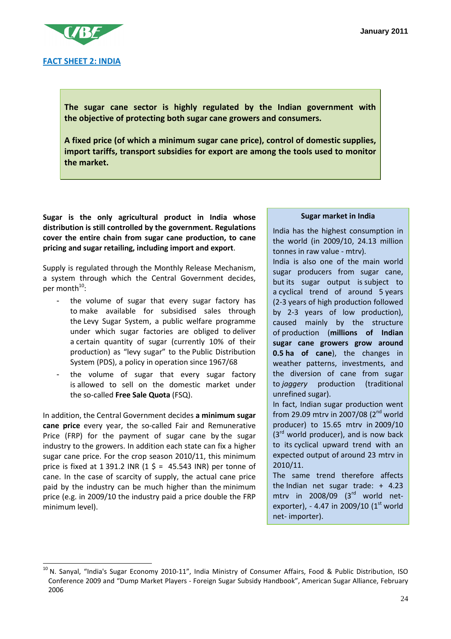

**The sugar cane sector is highly regulated by the Indian government with the objective of protecting both sugar cane growers and consumers.** 

**A fixed price (of which a minimum sugar cane price), control of domestic supplies, import tariffs, transport subsidies for export are among the tools used to monitor the market.** 

**Sugar is the only agricultural product in India whose distribution is still controlled by the government. Regulations cover the entire chain from sugar cane production, to cane pricing and sugar retailing, including import and export**.

Supply is regulated through the Monthly Release Mechanism, a system through which the Central Government decides, per month<sup>10</sup>:

- the volume of sugar that every sugar factory has to make available for subsidised sales through the Levy Sugar System, a public welfare programme under which sugar factories are obliged to deliver a certain quantity of sugar (currently 10% of their production) as "levy sugar" to the Public Distribution System (PDS), a policy in operation since 1967/68
- the volume of sugar that every sugar factory is allowed to sell on the domestic market under the so-called **Free Sale Quota** (FSQ).

In addition, the Central Government decides **a minimum sugar cane price** every year, the so-called Fair and Remunerative Price (FRP) for the payment of sugar cane by the sugar industry to the growers. In addition each state can fix a higher sugar cane price. For the crop season 2010/11, this minimum price is fixed at 1 391.2 INR  $(1 \xi = 45.543 \text{ INR})$  per tonne of cane. In the case of scarcity of supply, the actual cane price paid by the industry can be much higher than the minimum price (e.g. in 2009/10 the industry paid a price double the FRP minimum level).

 $\overline{a}$ 

#### **Sugar market in India**

India has the highest consumption in the world (in 2009/10, 24.13 million tonnes in raw value - mtrv). India is also one of the main world sugar producers from sugar cane, but its sugar output is subject to a cyclical trend of around 5 years (2-3 years of high production followed by 2-3 years of low production), caused mainly by the structure of production (**millions of Indian sugar cane growers grow around 0.5 ha of cane**), the changes in weather patterns, investments, and the diversion of cane from sugar to *jaggery* production (traditional unrefined sugar).

In fact, Indian sugar production went from 29.09 mtrv in 2007/08 (2<sup>nd</sup> world producer) to 15.65 mtrv in 2009/10  $(3<sup>rd</sup>$  world producer), and is now back to its cyclical upward trend with an expected output of around 23 mtrv in 2010/11.

The same trend therefore affects the Indian net sugar trade: + 4.23 mtry in  $2008/09$   $(3<sup>rd</sup>$  world netexporter), - 4.47 in 2009/10  $(1<sup>st</sup>$  world net- importer).

<sup>&</sup>lt;sup>10</sup> N. Sanyal, "India's Sugar Economy 2010-11", India Ministry of Consumer Affairs, Food & Public Distribution, ISO Conference 2009 and "Dump Market Players - Foreign Sugar Subsidy Handbook", American Sugar Alliance, February 2006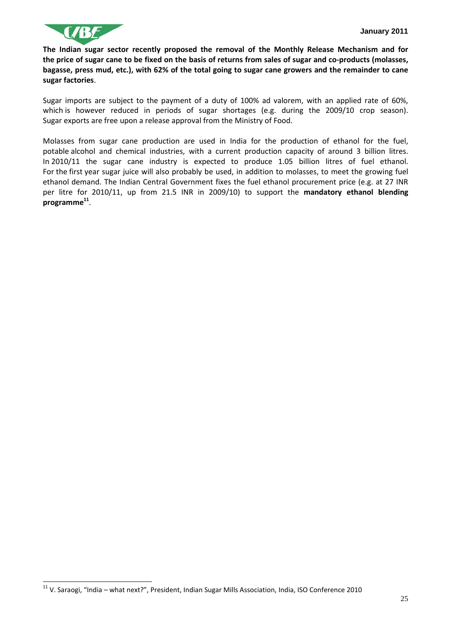

 $\overline{a}$ 

**The Indian sugar sector recently proposed the removal of the Monthly Release Mechanism and for the price of sugar cane to be fixed on the basis of returns from sales of sugar and co-products (molasses, bagasse, press mud, etc.), with 62% of the total going to sugar cane growers and the remainder to cane sugar factories**.

Sugar imports are subject to the payment of a duty of 100% ad valorem, with an applied rate of 60%, which is however reduced in periods of sugar shortages (e.g. during the 2009/10 crop season). Sugar exports are free upon a release approval from the Ministry of Food.

Molasses from sugar cane production are used in India for the production of ethanol for the fuel, potable alcohol and chemical industries, with a current production capacity of around 3 billion litres. In 2010/11 the sugar cane industry is expected to produce 1.05 billion litres of fuel ethanol. For the first year sugar juice will also probably be used, in addition to molasses, to meet the growing fuel ethanol demand. The Indian Central Government fixes the fuel ethanol procurement price (e.g. at 27 INR per litre for 2010/11, up from 21.5 INR in 2009/10) to support the **mandatory ethanol blending programme<sup>11</sup>** .

 $11$  V. Saraogi, "India – what next?", President, Indian Sugar Mills Association, India, ISO Conference 2010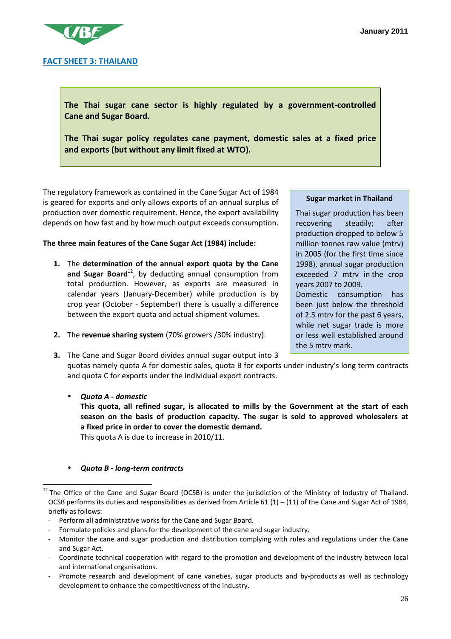

**The Thai sugar cane sector is highly regulated by a government-controlled Cane and Sugar Board.** 

**The Thai sugar policy regulates cane payment, domestic sales at a fixed price and exports (but without any limit fixed at WTO).**

The regulatory framework as contained in the Cane Sugar Act of 1984 is geared for exports and only allows exports of an annual surplus of production over domestic requirement. Hence, the export availability depends on how fast and by how much output exceeds consumption.

#### **The three main features of the Cane Sugar Act (1984) include:**

- **1.** The **determination of the annual export quota by the Cane**  and Sugar Board<sup>12</sup>, by deducting annual consumption from total production. However, as exports are measured in calendar years (January-December) while production is by crop year (October - September) there is usually a difference between the export quota and actual shipment volumes.
- **2.** The **revenue sharing system** (70% growers /30% industry).

#### **Sugar market in Thailand**

Thai sugar production has been recovering steadily; after production dropped to below 5 million tonnes raw value (mtrv) in 2005 (for the first time since 1998), annual sugar production exceeded 7 mtrv in the crop years 2007 to 2009. Domestic consumption has been just below the threshold of 2.5 mtrv for the past 6 years, while net sugar trade is more or less well established around the 5 mtrv mark.

**3.** The Cane and Sugar Board divides annual sugar output into 3 quotas namely quota A for domestic sales, quota B for exports under industry's long term contracts and quota C for exports under the individual export contracts.

• *Quota A - domestic* **This quota, all refined sugar, is allocated to mills by the Government at the start of each season on the basis of production capacity. The sugar is sold to approved wholesalers at a fixed price in order to cover the domestic demand.** This quota A is due to increase in 2010/11.

#### • *Quota B - long-term contracts*

 $\overline{a}$ 

<sup>&</sup>lt;sup>12</sup> The Office of the Cane and Sugar Board (OCSB) is under the jurisdiction of the Ministry of Industry of Thailand. OCSB performs its duties and responsibilities as derived from Article 61 (1) – (11) of the Cane and Sugar Act of 1984, briefly as follows:

<sup>-</sup> Perform all administrative works for the Cane and Sugar Board.

Formulate policies and plans for the development of the cane and sugar industry.

<sup>-</sup> Monitor the cane and sugar production and distribution complying with rules and regulations under the Cane and Sugar Act.

<sup>-</sup> Coordinate technical cooperation with regard to the promotion and development of the industry between local and international organisations.

Promote research and development of cane varieties, sugar products and by-products as well as technology development to enhance the competitiveness of the industry.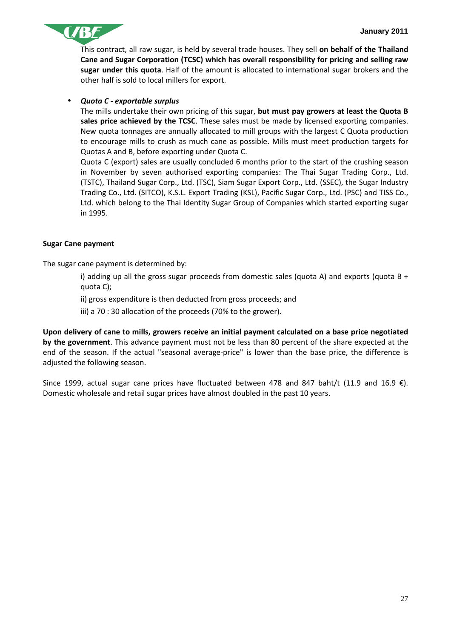

This contract, all raw sugar, is held by several trade houses. They sell **on behalf of the Thailand Cane and Sugar Corporation (TCSC) which has overall responsibility for pricing and selling raw sugar under this quota**. Half of the amount is allocated to international sugar brokers and the other half is sold to local millers for export.

#### • *Quota C - exportable surplus*

The mills undertake their own pricing of this sugar, **but must pay growers at least the Quota B sales price achieved by the TCSC**. These sales must be made by licensed exporting companies. New quota tonnages are annually allocated to mill groups with the largest C Quota production to encourage mills to crush as much cane as possible. Mills must meet production targets for Quotas A and B, before exporting under Quota C.

Quota C (export) sales are usually concluded 6 months prior to the start of the crushing season in November by seven authorised exporting companies: The Thai Sugar Trading Corp., Ltd. (TSTC), Thailand Sugar Corp., Ltd. (TSC), Siam Sugar Export Corp., Ltd. (SSEC), the Sugar Industry Trading Co., Ltd. (SITCO), K.S.L. Export Trading (KSL), Pacific Sugar Corp., Ltd. (PSC) and TISS Co., Ltd. which belong to the Thai Identity Sugar Group of Companies which started exporting sugar in 1995.

#### **Sugar Cane payment**

The sugar cane payment is determined by:

i) adding up all the gross sugar proceeds from domestic sales (quota A) and exports (quota B + quota C);

ii) gross expenditure is then deducted from gross proceeds; and

iii) a 70 : 30 allocation of the proceeds (70% to the grower).

**Upon delivery of cane to mills, growers receive an initial payment calculated on a base price negotiated by the government**. This advance payment must not be less than 80 percent of the share expected at the end of the season. If the actual "seasonal average-price" is lower than the base price, the difference is adjusted the following season.

Since 1999, actual sugar cane prices have fluctuated between 478 and 847 baht/t (11.9 and 16.9  $\epsilon$ ). Domestic wholesale and retail sugar prices have almost doubled in the past 10 years.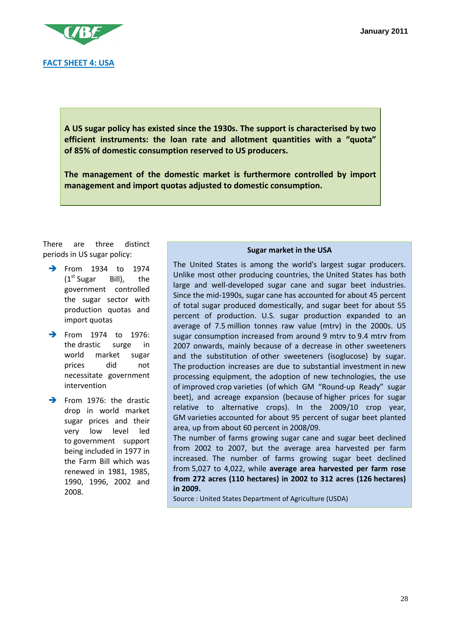

**A US sugar policy has existed since the 1930s. The support is characterised by two efficient instruments: the loan rate and allotment quantities with a "quota" of 85% of domestic consumption reserved to US producers.** 

**The management of the domestic market is furthermore controlled by import management and import quotas adjusted to domestic consumption.** 

There are three distinct periods in US sugar policy:

- **From 1934 to 1974**  $(1<sup>st</sup> Sugar$  Bill), the government controlled the sugar sector with production quotas and import quotas
- $\rightarrow$  From 1974 to 1976: the drastic surge in world market sugar prices did not necessitate government intervention
- $\rightarrow$  From 1976: the drastic drop in world market sugar prices and their very low level led to government support being included in 1977 in the Farm Bill which was renewed in 1981, 1985, 1990, 1996, 2002 and 2008.

#### **Sugar market in the USA**

The United States is among the world's largest sugar producers. Unlike most other producing countries, the United States has both large and well-developed sugar cane and sugar beet industries. Since the mid-1990s, sugar cane has accounted for about 45 percent of total sugar produced domestically, and sugar beet for about 55 percent of production. U.S. sugar production expanded to an average of 7.5 million tonnes raw value (mtrv) in the 2000s. US sugar consumption increased from around 9 mtrv to 9.4 mtrv from 2007 onwards, mainly because of a decrease in other sweeteners and the substitution of other sweeteners (isoglucose) by sugar. The production increases are due to substantial investment in new processing equipment, the adoption of new technologies, the use of improved crop varieties (of which GM "Round-up Ready" sugar beet), and acreage expansion (because of higher prices for sugar relative to alternative crops). In the 2009/10 crop year, GM varieties accounted for about 95 percent of sugar beet planted area, up from about 60 percent in 2008/09.

The number of farms growing sugar cane and sugar beet declined from 2002 to 2007, but the average area harvested per farm increased. The number of farms growing sugar beet declined from 5,027 to 4,022, while **average area harvested per farm rose from 272 acres (110 hectares) in 2002 to 312 acres (126 hectares) in 2009.** 

Source : United States Department of Agriculture (USDA)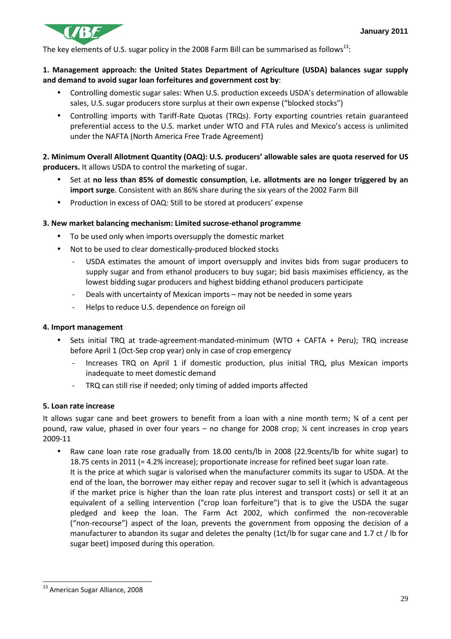

The key elements of U.S. sugar policy in the 2008 Farm Bill can be summarised as follows<sup>13</sup>:

#### **1. Management approach: the United States Department of Agriculture (USDA) balances sugar supply and demand to avoid sugar loan forfeitures and government cost by**:

- Controlling domestic sugar sales: When U.S. production exceeds USDA's determination of allowable sales, U.S. sugar producers store surplus at their own expense ("blocked stocks")
- Controlling imports with Tariff-Rate Quotas (TRQs). Forty exporting countries retain guaranteed preferential access to the U.S. market under WTO and FTA rules and Mexico's access is unlimited under the NAFTA (North America Free Trade Agreement)

**2. Minimum Overall Allotment Quantity (OAQ): U.S. producers' allowable sales are quota reserved for US producers.** It allows USDA to control the marketing of sugar.

- Set at **no less than 85% of domestic consumption**, **i.e. allotments are no longer triggered by an import surge**. Consistent with an 86% share during the six years of the 2002 Farm Bill
- Production in excess of OAQ: Still to be stored at producers' expense

#### **3. New market balancing mechanism: Limited sucrose-ethanol programme**

- To be used only when imports oversupply the domestic market
- Not to be used to clear domestically-produced blocked stocks
	- USDA estimates the amount of import oversupply and invites bids from sugar producers to supply sugar and from ethanol producers to buy sugar; bid basis maximises efficiency, as the lowest bidding sugar producers and highest bidding ethanol producers participate
	- Deals with uncertainty of Mexican imports may not be needed in some years
	- Helps to reduce U.S. dependence on foreign oil

#### **4. Import management**

- Sets initial TRQ at trade-agreement-mandated-minimum (WTO + CAFTA + Peru); TRQ increase before April 1 (Oct-Sep crop year) only in case of crop emergency
	- Increases TRQ on April 1 if domestic production, plus initial TRQ, plus Mexican imports inadequate to meet domestic demand
	- TRQ can still rise if needed; only timing of added imports affected

#### **5. Loan rate increase**

It allows sugar cane and beet growers to benefit from a loan with a nine month term; % of a cent per pound, raw value, phased in over four years – no change for 2008 crop; ¼ cent increases in crop years 2009-11

• Raw cane loan rate rose gradually from 18.00 cents/lb in 2008 (22.9cents/lb for white sugar) to 18.75 cents in 2011 (= 4.2% increase); proportionate increase for refined beet sugar loan rate. It is the price at which sugar is valorised when the manufacturer commits its sugar to USDA. At the end of the loan, the borrower may either repay and recover sugar to sell it (which is advantageous if the market price is higher than the loan rate plus interest and transport costs) or sell it at an equivalent of a selling intervention ("crop loan forfeiture") that is to give the USDA the sugar pledged and keep the loan. The Farm Act 2002, which confirmed the non-recoverable ("non-recourse") aspect of the loan, prevents the government from opposing the decision of a manufacturer to abandon its sugar and deletes the penalty (1ct/lb for sugar cane and 1.7 ct / lb for sugar beet) imposed during this operation.

 $\overline{a}$ <sup>13</sup> American Sugar Alliance, 2008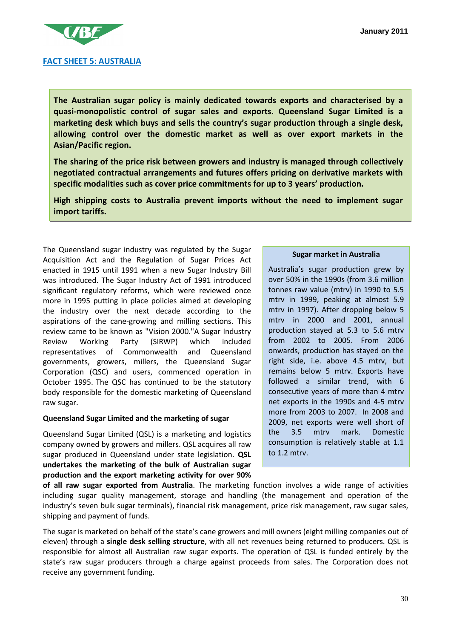

**The Australian sugar policy is mainly dedicated towards exports and characterised by a quasi-monopolistic control of sugar sales and exports. Queensland Sugar Limited is a marketing desk which buys and sells the country's sugar production through a single desk, allowing control over the domestic market as well as over export markets in the Asian/Pacific region.** 

**The sharing of the price risk between growers and industry is managed through collectively negotiated contractual arrangements and futures offers pricing on derivative markets with specific modalities such as cover price commitments for up to 3 years' production.** 

**High shipping costs to Australia prevent imports without the need to implement sugar import tariffs.** 

The Queensland sugar industry was regulated by the Sugar Acquisition Act and the Regulation of Sugar Prices Act enacted in 1915 until 1991 when a new Sugar Industry Bill was introduced. The Sugar Industry Act of 1991 introduced significant regulatory reforms, which were reviewed once more in 1995 putting in place policies aimed at developing the industry over the next decade according to the aspirations of the cane-growing and milling sections. This review came to be known as "Vision 2000."A Sugar Industry Review Working Party (SIRWP) which included representatives of Commonwealth and Queensland governments, growers, millers, the Queensland Sugar Corporation (QSC) and users, commenced operation in October 1995. The QSC has continued to be the statutory body responsible for the domestic marketing of Queensland raw sugar.

#### **Queensland Sugar Limited and the marketing of sugar**

Queensland Sugar Limited (QSL) is a marketing and logistics company owned by growers and millers. QSL acquires all raw sugar produced in Queensland under state legislation. **QSL undertakes the marketing of the bulk of Australian sugar production and the export marketing activity for over 90%** 

#### **Sugar market in Australia**

Australia's sugar production grew by over 50% in the 1990s (from 3.6 million tonnes raw value (mtrv) in 1990 to 5.5 mtrv in 1999, peaking at almost 5.9 mtrv in 1997). After dropping below 5 mtrv in 2000 and 2001, annual production stayed at 5.3 to 5.6 mtrv from 2002 to 2005. From 2006 onwards, production has stayed on the right side, i.e. above 4.5 mtrv, but remains below 5 mtrv. Exports have followed a similar trend, with 6 consecutive years of more than 4 mtrv net exports in the 1990s and 4-5 mtrv more from 2003 to 2007. In 2008 and 2009, net exports were well short of the 3.5 mtrv mark. Domestic consumption is relatively stable at 1.1 to 1.2 mtrv.

**of all raw sugar exported from Australia**. The marketing function involves a wide range of activities including sugar quality management, storage and handling (the management and operation of the industry's seven bulk sugar terminals), financial risk management, price risk management, raw sugar sales, shipping and payment of funds.

The sugar is marketed on behalf of the state's cane growers and mill owners (eight milling companies out of eleven) through a **single desk selling structure**, with all net revenues being returned to producers. QSL is responsible for almost all Australian raw sugar exports. The operation of QSL is funded entirely by the state's raw sugar producers through a charge against proceeds from sales. The Corporation does not receive any government funding.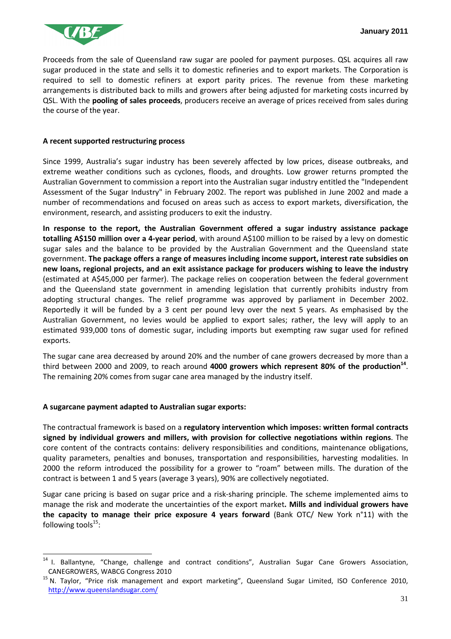

Proceeds from the sale of Queensland raw sugar are pooled for payment purposes. QSL acquires all raw sugar produced in the state and sells it to domestic refineries and to export markets. The Corporation is required to sell to domestic refiners at export parity prices. The revenue from these marketing arrangements is distributed back to mills and growers after being adjusted for marketing costs incurred by QSL. With the **pooling of sales proceeds**, producers receive an average of prices received from sales during the course of the year.

#### **A recent supported restructuring process**

Since 1999, Australia's sugar industry has been severely affected by low prices, disease outbreaks, and extreme weather conditions such as cyclones, floods, and droughts. Low grower returns prompted the Australian Government to commission a report into the Australian sugar industry entitled the "Independent Assessment of the Sugar Industry" in February 2002. The report was published in June 2002 and made a number of recommendations and focused on areas such as access to export markets, diversification, the environment, research, and assisting producers to exit the industry.

**In response to the report, the Australian Government offered a sugar industry assistance package totalling A\$150 million over a 4-year period**, with around A\$100 million to be raised by a levy on domestic sugar sales and the balance to be provided by the Australian Government and the Queensland state government. **The package offers a range of measures including income support, interest rate subsidies on new loans, regional projects, and an exit assistance package for producers wishing to leave the industry**  (estimated at A\$45,000 per farmer). The package relies on cooperation between the federal government and the Queensland state government in amending legislation that currently prohibits industry from adopting structural changes. The relief programme was approved by parliament in December 2002. Reportedly it will be funded by a 3 cent per pound levy over the next 5 years. As emphasised by the Australian Government, no levies would be applied to export sales; rather, the levy will apply to an estimated 939,000 tons of domestic sugar, including imports but exempting raw sugar used for refined exports.

The sugar cane area decreased by around 20% and the number of cane growers decreased by more than a third between 2000 and 2009, to reach around **4000 growers which represent 80% of the production<sup>14</sup>** . The remaining 20% comes from sugar cane area managed by the industry itself.

#### **A sugarcane payment adapted to Australian sugar exports:**

 $\overline{a}$ 

The contractual framework is based on a **regulatory intervention which imposes: written formal contracts signed by individual growers and millers, with provision for collective negotiations within regions**. The core content of the contracts contains: delivery responsibilities and conditions, maintenance obligations, quality parameters, penalties and bonuses, transportation and responsibilities, harvesting modalities. In 2000 the reform introduced the possibility for a grower to "roam" between mills. The duration of the contract is between 1 and 5 years (average 3 years), 90% are collectively negotiated.

Sugar cane pricing is based on sugar price and a risk-sharing principle. The scheme implemented aims to manage the risk and moderate the uncertainties of the export market**. Mills and individual growers have the capacity to manage their price exposure 4 years forward** (Bank OTC/ New York n°11) with the following tools $^{15}$ :

<sup>14</sup> I. Ballantyne, "Change, challenge and contract conditions", Australian Sugar Cane Growers Association, CANEGROWERS, WABCG Congress 2010

<sup>&</sup>lt;sup>15</sup> N. Taylor, "Price risk management and export marketing", Queensland Sugar Limited, ISO Conference 2010, http://www.queenslandsugar.com/